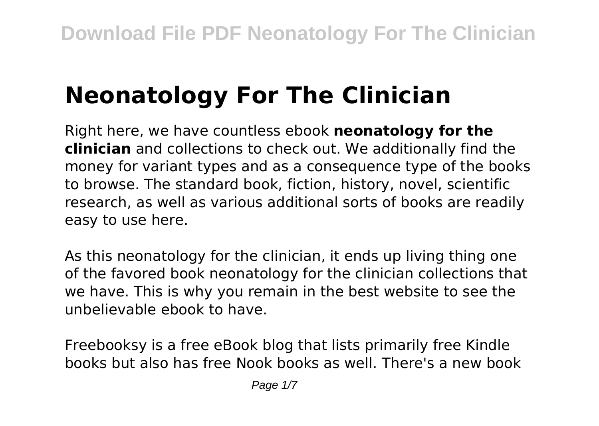# **Neonatology For The Clinician**

Right here, we have countless ebook **neonatology for the clinician** and collections to check out. We additionally find the money for variant types and as a consequence type of the books to browse. The standard book, fiction, history, novel, scientific research, as well as various additional sorts of books are readily easy to use here.

As this neonatology for the clinician, it ends up living thing one of the favored book neonatology for the clinician collections that we have. This is why you remain in the best website to see the unbelievable ebook to have.

Freebooksy is a free eBook blog that lists primarily free Kindle books but also has free Nook books as well. There's a new book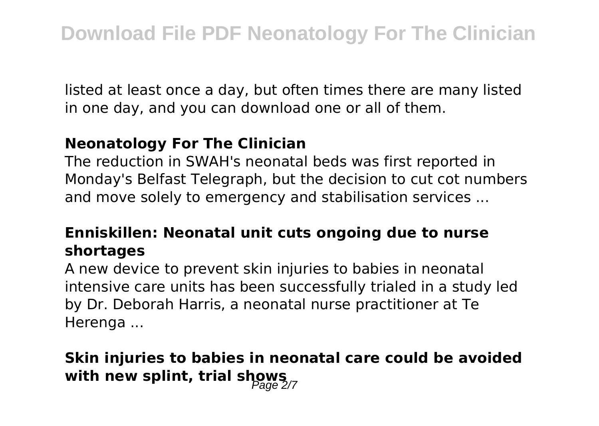listed at least once a day, but often times there are many listed in one day, and you can download one or all of them.

#### **Neonatology For The Clinician**

The reduction in SWAH's neonatal beds was first reported in Monday's Belfast Telegraph, but the decision to cut cot numbers and move solely to emergency and stabilisation services ...

## **Enniskillen: Neonatal unit cuts ongoing due to nurse shortages**

A new device to prevent skin injuries to babies in neonatal intensive care units has been successfully trialed in a study led by Dr. Deborah Harris, a neonatal nurse practitioner at Te Herenga ...

## **Skin injuries to babies in neonatal care could be avoided** with new splint, trial shows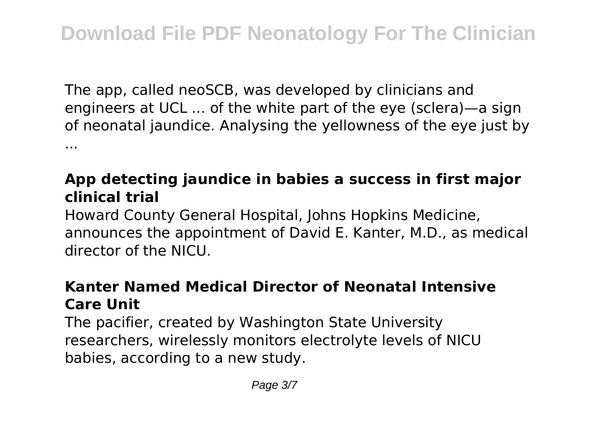The app, called neoSCB, was developed by clinicians and engineers at UCL ... of the white part of the eye (sclera)—a sign of neonatal jaundice. Analysing the yellowness of the eye just by ...

## **App detecting jaundice in babies a success in first major clinical trial**

Howard County General Hospital, Johns Hopkins Medicine, announces the appointment of David E. Kanter, M.D., as medical director of the NICU.

## **Kanter Named Medical Director of Neonatal Intensive Care Unit**

The pacifier, created by Washington State University researchers, wirelessly monitors electrolyte levels of NICU babies, according to a new study.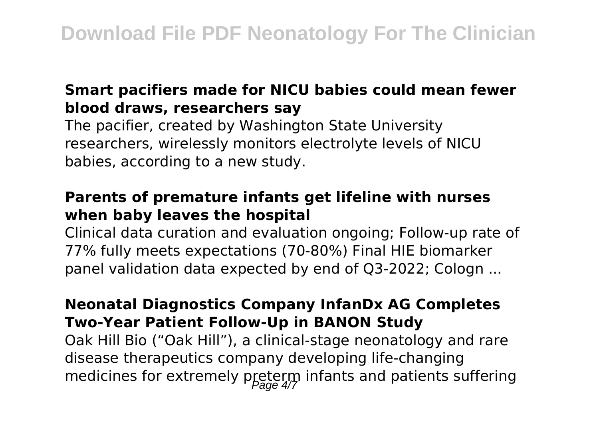#### **Smart pacifiers made for NICU babies could mean fewer blood draws, researchers say**

The pacifier, created by Washington State University researchers, wirelessly monitors electrolyte levels of NICU babies, according to a new study.

#### **Parents of premature infants get lifeline with nurses when baby leaves the hospital**

Clinical data curation and evaluation ongoing; Follow-up rate of 77% fully meets expectations (70-80%) Final HIE biomarker panel validation data expected by end of Q3-2022; Cologn ...

#### **Neonatal Diagnostics Company InfanDx AG Completes Two-Year Patient Follow-Up in BANON Study**

Oak Hill Bio ("Oak Hill"), a clinical-stage neonatology and rare disease therapeutics company developing life-changing medicines for extremely preterm infants and patients suffering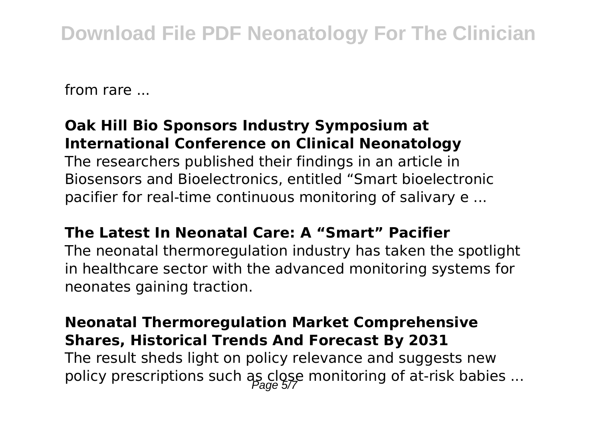from rare ...

#### **Oak Hill Bio Sponsors Industry Symposium at International Conference on Clinical Neonatology**

The researchers published their findings in an article in Biosensors and Bioelectronics, entitled "Smart bioelectronic pacifier for real-time continuous monitoring of salivary e ...

#### **The Latest In Neonatal Care: A "Smart" Pacifier**

The neonatal thermoregulation industry has taken the spotlight in healthcare sector with the advanced monitoring systems for neonates gaining traction.

#### **Neonatal Thermoregulation Market Comprehensive Shares, Historical Trends And Forecast By 2031**

The result sheds light on policy relevance and suggests new policy prescriptions such as close monitoring of at-risk babies ...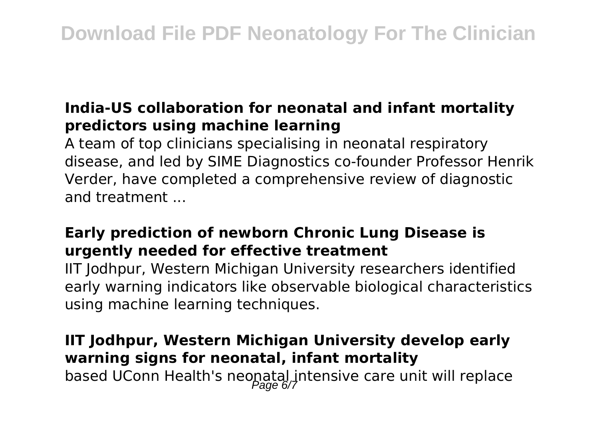### **India-US collaboration for neonatal and infant mortality predictors using machine learning**

A team of top clinicians specialising in neonatal respiratory disease, and led by SIME Diagnostics co-founder Professor Henrik Verder, have completed a comprehensive review of diagnostic and treatment ...

## **Early prediction of newborn Chronic Lung Disease is urgently needed for effective treatment**

IIT Jodhpur, Western Michigan University researchers identified early warning indicators like observable biological characteristics using machine learning techniques.

**IIT Jodhpur, Western Michigan University develop early warning signs for neonatal, infant mortality** based UConn Health's neonatal intensive care unit will replace